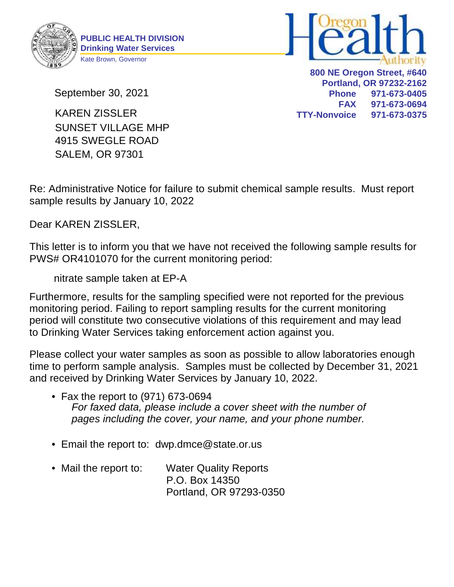



September 30, 2021

4915 SWEGLE ROAD SALEM, OR 97301 SUNSET VILLAGE MHP KAREN ZISSLER

**800 NE Oregon Street, #640 Portland, OR 97232-2162 Phone 971-673-0405 FAX 971-673-0694 TTY-Nonvoice 971-673-0375**

Re: Administrative Notice for failure to submit chemical sample results. Must report sample results by January 10, 2022

Dear KAREN ZISSLER,

This letter is to inform you that we have not received the following sample results for PWS# OR4101070 for the current monitoring period:

nitrate sample taken at EP-A

Furthermore, results for the sampling specified were not reported for the previous monitoring period. Failing to report sampling results for the current monitoring period will constitute two consecutive violations of this requirement and may lead to Drinking Water Services taking enforcement action against you.

Please collect your water samples as soon as possible to allow laboratories enough time to perform sample analysis. Samples must be collected by December 31, 2021 and received by Drinking Water Services by January 10, 2022.

- Fax the report to (971) 673-0694 For faxed data, please include a cover sheet with the number of pages including the cover, your name, and your phone number.
- Email the report to: dwp.dmce@state.or.us
- Mail the report to: Water Quality Reports P.O. Box 14350 Portland, OR 97293-0350